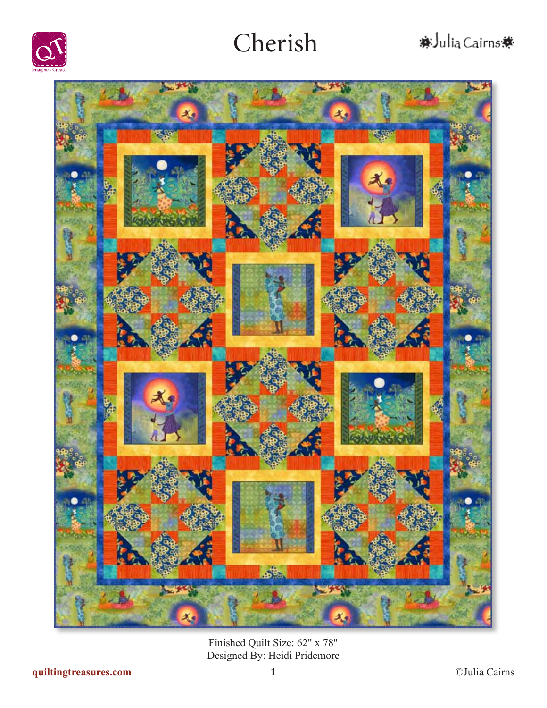

## **株Julia Cairns株**



Finished Quilt Size: 62" x 78" Designed By: Heidi Pridemore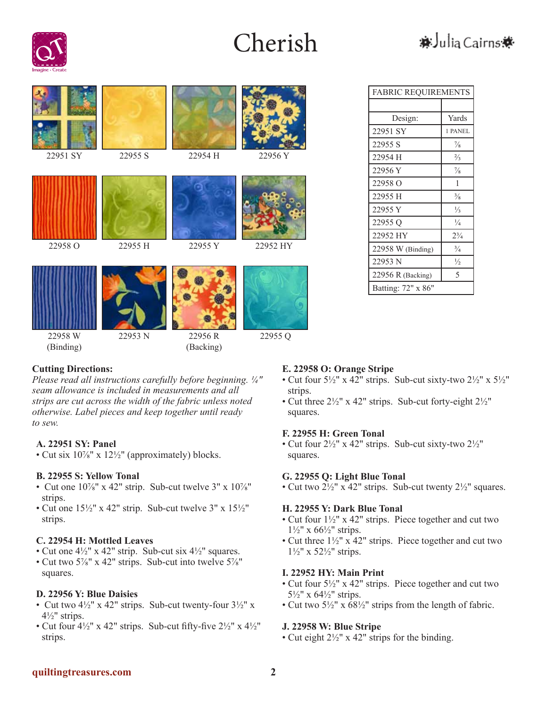### **A** Julia Cairns **A**

FABRIC REQUIREMENTS

Design: Yards 22951 SY 1 PANEL 22955 S  $\frac{7}{8}$  $22954 \text{ H}$   $\frac{2}{3}$  $22956 \text{ Y}$   $\frac{7}{8}$ 22958 O 1 22955 H  $\frac{3}{8}$ 22955 Y  $\frac{1}{3}$ 22955 Q  $\frac{1}{4}$ 22952 HY 2<sup>3</sup>/<sub>4</sub> 22958 W (Binding)  $\frac{3}{4}$ 22953 N  $\frac{1}{2}$ 22956 R (Backing) 5





#### **Cutting Directions:**

*Please read all instructions carefully before beginning. ¼" seam allowance is included in measurements and all strips are cut across the width of the fabric unless noted otherwise. Label pieces and keep together until ready to sew.*

#### **A. 22951 SY: Panel**

• Cut six 10<sup>7</sup>/<sub>8</sub>" x 12<sup>1</sup>/<sub>2</sub>" (approximately) blocks.

#### **B. 22955 S: Yellow Tonal**

- Cut one  $10\frac{\%}{\%}$  x 42" strip. Sub-cut twelve 3" x  $10\frac{\%}{\%}$ " strips.
- Cut one 15½" x 42" strip. Sub-cut twelve 3" x 15½" strips.

#### **C. 22954 H: Mottled Leaves**

- Cut one  $4\frac{1}{2}$ " x 42" strip. Sub-cut six  $4\frac{1}{2}$ " squares.
- Cut two 5%" x 42" strips. Sub-cut into twelve 5%" squares.

#### **D. 22956 Y: Blue Daisies**

- Cut two  $4\frac{1}{2}$ " x 42" strips. Sub-cut twenty-four  $3\frac{1}{2}$ " x 4½" strips.
- Cut four  $4\frac{1}{2}$ " x 42" strips. Sub-cut fifty-five  $2\frac{1}{2}$ " x  $4\frac{1}{2}$ " strips.

#### **E. 22958 O: Orange Stripe**

• Cut four  $5\frac{1}{2}$ " x  $42$ " strips. Sub-cut sixty-two  $2\frac{1}{2}$ " x  $5\frac{1}{2}$ " strips.

Batting: 72" x 86"

• Cut three 2½" x 42" strips. Sub-cut forty-eight 2½" squares.

#### **F. 22955 H: Green Tonal**

• Cut four 2½" x 42" strips. Sub-cut sixty-two 2½" squares.

#### **G. 22955 Q: Light Blue Tonal**

• Cut two  $2\frac{1}{2}$ " x 42" strips. Sub-cut twenty  $2\frac{1}{2}$ " squares.

#### **H. 22955 Y: Dark Blue Tonal**

- Cut four  $1\frac{1}{2}$ " x 42" strips. Piece together and cut two  $1\frac{1}{2}$ " x 66 $\frac{1}{2}$ " strips.
- Cut three  $1\frac{1}{2}$ " x 42" strips. Piece together and cut two  $1\frac{1}{2}$ " x 52 $\frac{1}{2}$ " strips.

#### **I. 22952 HY: Main Print**

- Cut four 5½" x 42" strips. Piece together and cut two  $5\frac{1}{2}$ " x 64 $\frac{1}{2}$ " strips.
- Cut two  $5\frac{1}{2}$ " x  $\frac{68\frac{1}{2}}{2}$ " strips from the length of fabric.

#### **J. 22958 W: Blue Stripe**

• Cut eight 2½" x 42" strips for the binding.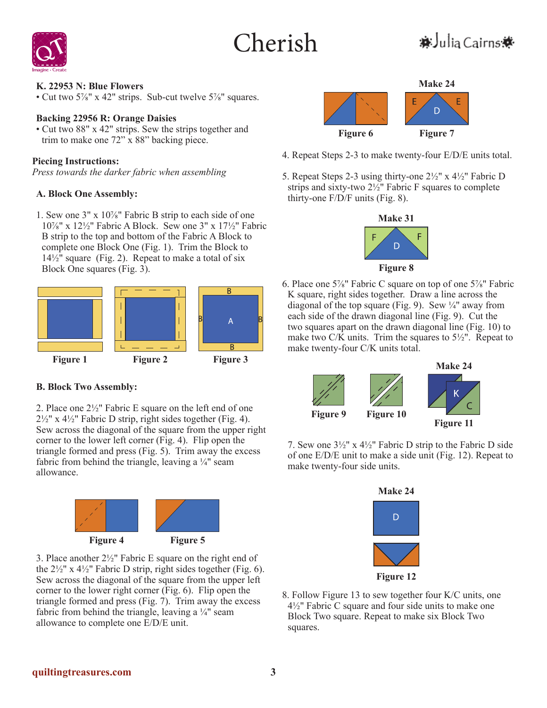## **A** Julia Cairns **\***



#### **K. 22953 N: Blue Flowers**

• Cut two 5<sup>7</sup>/<sub>8</sub>" x 42" strips. Sub-cut twelve 5<sup>7</sup>/<sub>8</sub>" squares.

#### **Backing 22956 R: Orange Daisies**

• Cut two 88" x 42" strips. Sew the strips together and trim to make one 72" x 88" backing piece.

#### **Piecing Instructions:**

*Press towards the darker fabric when assembling*

#### **A. Block One Assembly:**

1. Sew one 3" x 10⅞" Fabric B strip to each side of one 10⅞" x 12½" Fabric A Block. Sew one 3" x 17½" Fabric B strip to the top and bottom of the Fabric A Block to complete one Block One (Fig. 1). Trim the Block to  $14\frac{1}{2}$ " square (Fig. 2). Repeat to make a total of six Block One squares (Fig. 3).



#### **B. Block Two Assembly:**

2. Place one 2½" Fabric E square on the left end of one  $2\frac{1}{2}$ " x 4 $\frac{1}{2}$ " Fabric D strip, right sides together (Fig. 4). Sew across the diagonal of the square from the upper right corner to the lower left corner (Fig. 4). Flip open the triangle formed and press (Fig. 5). Trim away the excess fabric from behind the triangle, leaving a  $\frac{1}{4}$ " seam allowance.



3. Place another 2½" Fabric E square on the right end of the  $2\frac{1}{2}$ " x  $4\frac{1}{2}$ " Fabric D strip, right sides together (Fig. 6). Sew across the diagonal of the square from the upper left corner to the lower right corner (Fig. 6). Flip open the triangle formed and press (Fig. 7). Trim away the excess fabric from behind the triangle, leaving a  $\frac{1}{4}$ " seam allowance to complete one E/D/E unit.



- 4. Repeat Steps 2-3 to make twenty-four E/D/E units total.
- 5. Repeat Steps 2-3 using thirty-one 2½" x 4½" Fabric D strips and sixty-two 2½" Fabric F squares to complete thirty-one F/D/F units (Fig. 8).



6. Place one 5⅞" Fabric C square on top of one 5⅞" Fabric K square, right sides together. Draw a line across the diagonal of the top square (Fig. 9). Sew  $\frac{1}{4}$ " away from each side of the drawn diagonal line (Fig. 9). Cut the two squares apart on the drawn diagonal line (Fig. 10) to make two C/K units. Trim the squares to  $5\frac{1}{2}$ ". Repeat to make twenty-four C/K units total.



7. Sew one  $3\frac{1}{2}$ " x  $4\frac{1}{2}$ " Fabric D strip to the Fabric D side of one E/D/E unit to make a side unit (Fig. 12). Repeat to make twenty-four side units.



8. Follow Figure 13 to sew together four K/C units, one 4½" Fabric C square and four side units to make one Block Two square. Repeat to make six Block Two squares.